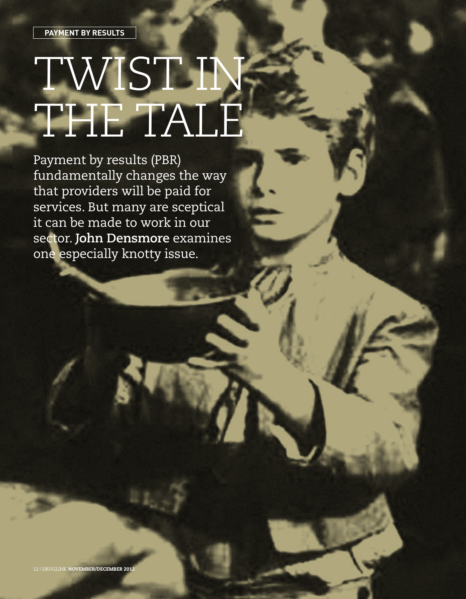# TWIST IN, THE TALE

Payment by results (PBR) fundamentally changes the way that providers will be paid for services. But many are sceptical it can be made to work in our sector. **John Densmore** examines one especially knotty issue.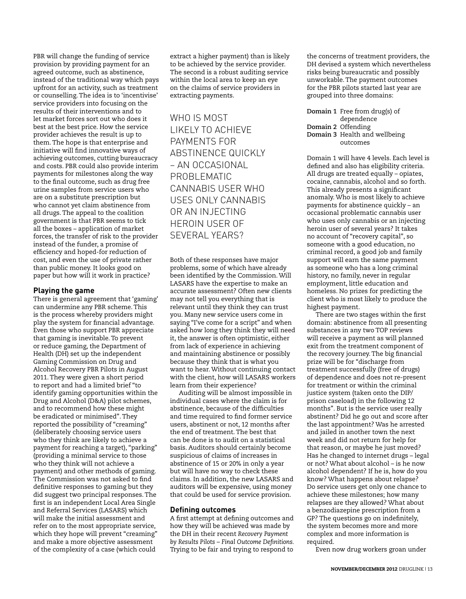PBR will change the funding of service provision by providing payment for an agreed outcome, such as abstinence, instead of the traditional way which pays upfront for an activity, such as treatment or counselling. The idea is to 'incentivise' service providers into focusing on the results of their interventions and to let market forces sort out who does it best at the best price. How the service provider achieves the result is up to them. The hope is that enterprise and initiative will find innovative ways of achieving outcomes, cutting bureaucracy and costs. PBR could also provide interim payments for milestones along the way to the final outcome, such as drug free urine samples from service users who are on a substitute prescription but who cannot yet claim abstinence from all drugs. The appeal to the coalition government is that PBR seems to tick all the boxes – application of market forces, the transfer of risk to the provider instead of the funder, a promise of efficiency and hoped-for reduction of cost, and even the use of private rather than public money. It looks good on paper but how will it work in practice?

# **Playing the game**

There is general agreement that 'gaming' can undermine any PBR scheme. This is the process whereby providers might play the system for financial advantage. Even those who support PBR appreciate that gaming is inevitable. To prevent or reduce gaming, the Department of Health (DH) set up the independent Gaming Commission on Drug and Alcohol Recovery PBR Pilots in August 2011. They were given a short period to report and had a limited brief "to identify gaming opportunities within the Drug and Alcohol (D&A) pilot schemes, and to recommend how these might be eradicated or minimised". They reported the possibility of "creaming" (deliberately choosing service users who they think are likely to achieve a payment for reaching a target), "parking" (providing a minimal service to those who they think will not achieve a payment) and other methods of gaming. The Commission was not asked to find definitive responses to gaming but they did suggest two principal responses. The first is an independent Local Area Single and Referral Services (LASARS) which will make the initial assessment and refer on to the most appropriate service, which they hope will prevent "creaming" and make a more objective assessment of the complexity of a case (which could

extract a higher payment) than is likely to be achieved by the service provider. The second is a robust auditing service within the local area to keep an eye on the claims of service providers in extracting payments.

WHO IS MOST likely to achieve payments for abstinence quickly – an occasional problematic cannabis user who uses only cannabis or an injecting heroin user of SFVFRAI YFARS?

Both of these responses have major problems, some of which have already been identified by the Commission. Will LASARS have the expertise to make an accurate assessment? Often new clients may not tell you everything that is relevant until they think they can trust you. Many new service users come in saying "I've come for a script" and when asked how long they think they will need it, the answer is often optimistic, either from lack of experience in achieving and maintaining abstinence or possibly because they think that is what you want to hear. Without continuing contact with the client, how will LASARS workers learn from their experience?

Auditing will be almost impossible in individual cases where the claim is for abstinence, because of the difficulties and time required to find former service users, abstinent or not, 12 months after the end of treatment. The best that can be done is to audit on a statistical basis. Auditors should certainly become suspicious of claims of increases in abstinence of 15 or 20% in only a year but will have no way to check these claims. In addition, the new LASARS and auditors will be expensive, using money that could be used for service provision.

### **Defining outcomes**

A first attempt at defining outcomes and how they will be achieved was made by the DH in their recent *Recovery Payment by Results Pilots – Final Outcome Definitions.* Trying to be fair and trying to respond to

the concerns of treatment providers, the DH devised a system which nevertheless risks being bureaucratic and possibly unworkable. The payment outcomes for the PBR pilots started last year are grouped into three domains:

**Domain 1** Free from drug(s) of dependence **Domain 2** Offending **Domain 3** Health and wellbeing outcomes

Domain 1 will have 4 levels. Each level is defined and also has eligibility criteria. All drugs are treated equally – opiates, cocaine, cannabis, alcohol and so forth. This already presents a significant anomaly. Who is most likely to achieve payments for abstinence quickly – an occasional problematic cannabis user who uses only cannabis or an injecting heroin user of several years? It takes no account of "recovery capital", so someone with a good education, no criminal record, a good job and family support will earn the same payment as someone who has a long criminal history, no family, never in regular employment, little education and homeless. No prizes for predicting the client who is most likely to produce the highest payment.

There are two stages within the first domain: abstinence from all presenting substances in any two TOP reviews will receive a payment as will planned exit from the treatment component of the recovery journey. The big financial prize will be for "discharge from treatment successfully (free of drugs) of dependence and does not re-present for treatment or within the criminal justice system (taken onto the DIP/ prison caseload) in the following 12 months". But is the service user really abstinent? Did he go out and score after the last appointment? Was he arrested and jailed in another town the next week and did not return for help for that reason, or maybe he just moved? Has he changed to internet drugs – legal or not? What about alcohol – is he now alcohol dependent? If he is, how do you know? What happens about relapse? Do service users get only one chance to achieve these milestones; how many relapses are they allowed? What about a benzodiazepine prescription from a GP? The questions go on indefinitely, the system becomes more and more complex and more information is required.

Even now drug workers groan under